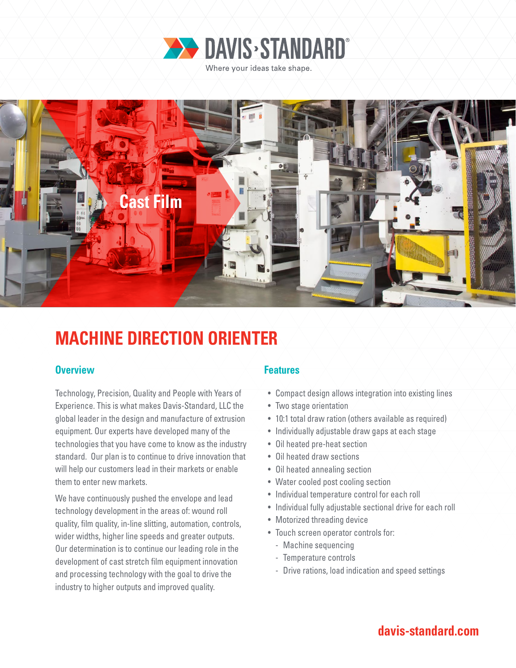



# **MACHINE DIRECTION ORIENTER**

### **Overview Features**

Technology, Precision, Quality and People with Years of Experience. This is what makes Davis-Standard, LLC the global leader in the design and manufacture of extrusion equipment. Our experts have developed many of the technologies that you have come to know as the industry standard. Our plan is to continue to drive innovation that will help our customers lead in their markets or enable them to enter new markets.

We have continuously pushed the envelope and lead technology development in the areas of: wound roll quality, film quality, in-line slitting, automation, controls, wider widths, higher line speeds and greater outputs. Our determination is to continue our leading role in the development of cast stretch film equipment innovation and processing technology with the goal to drive the industry to higher outputs and improved quality.

- Compact design allows integration into existing lines
- Two stage orientation
- 10:1 total draw ration (others available as required)
- Individually adjustable draw gaps at each stage
- Oil heated pre-heat section
- Oil heated draw sections
- Oil heated annealing section
- Water cooled post cooling section
- Individual temperature control for each roll
- Individual fully adjustable sectional drive for each roll
- Motorized threading device
- Touch screen operator controls for:
	- Machine sequencing
	- Temperature controls
	- Drive rations, load indication and speed settings

# **davis-standard.com**